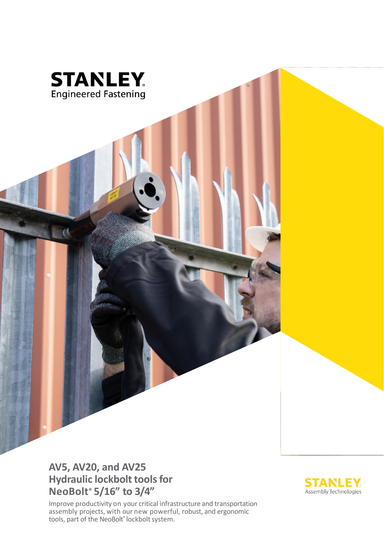

### **AV5, AV20, and AV25 Hydraulic lockbolt tools for NeoBolt® 5/16" to 3/4"**

Improve productivity on your critical infrastructure and transportation assembly projects, with our new powerful, robust, and ergonomic tools, part of the NeoBolt® lockbolt system.